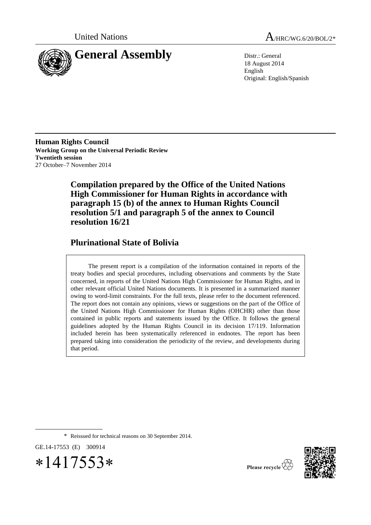

United Nations  $A_{HRC/WG.6/20/BOL/2*}$ 

18 August 2014 English Original: English/Spanish

**Human Rights Council Working Group on the Universal Periodic Review Twentieth session** 27 October–7 November 2014

> **Compilation prepared by the Office of the United Nations High Commissioner for Human Rights in accordance with paragraph 15 (b) of the annex to Human Rights Council resolution 5/1 and paragraph 5 of the annex to Council resolution 16/21**

# **Plurinational State of Bolivia**

The present report is a compilation of the information contained in reports of the treaty bodies and special procedures, including observations and comments by the State concerned, in reports of the United Nations High Commissioner for Human Rights, and in other relevant official United Nations documents. It is presented in a summarized manner owing to word-limit constraints. For the full texts, please refer to the document referenced. The report does not contain any opinions, views or suggestions on the part of the Office of the United Nations High Commissioner for Human Rights (OHCHR) other than those contained in public reports and statements issued by the Office. It follows the general guidelines adopted by the Human Rights Council in its decision 17/119. Information included herein has been systematically referenced in endnotes. The report has been prepared taking into consideration the periodicity of the review, and developments during that period.

\* Reissued for technical reasons on 30 September 2014.

GE.14-17553 (E) 300914





Please recycle  $\overleftrightarrow{C}$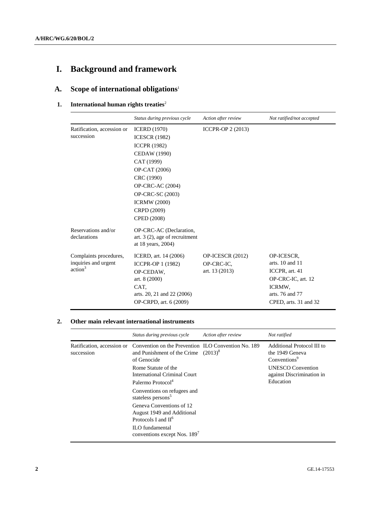# **I. Background and framework**

# **A. Scope of international obligations**<sup>1</sup>

#### **1.** International human rights treaties<sup>2</sup>

|                                                                       | Status during previous cycle                                                                                                                                                                                                               | Action after review                               | Not ratified/not accepted                                                                                                       |
|-----------------------------------------------------------------------|--------------------------------------------------------------------------------------------------------------------------------------------------------------------------------------------------------------------------------------------|---------------------------------------------------|---------------------------------------------------------------------------------------------------------------------------------|
| Ratification, accession or<br>succession                              | <b>ICERD</b> (1970)<br><b>ICESCR (1982)</b><br><b>ICCPR (1982)</b><br>CEDAW (1990)<br>CAT (1999)<br>OP-CAT (2006)<br>CRC (1990)<br>OP-CRC-AC (2004)<br><b>OP-CRC-SC (2003)</b><br><b>ICRMW (2000)</b><br>CRPD (2009)<br><b>CPED</b> (2008) | <b>ICCPR-OP 2 (2013)</b>                          |                                                                                                                                 |
| Reservations and/or<br>declarations                                   | OP-CRC-AC (Declaration,<br>art. $3(2)$ , age of recruitment<br>at 18 years, 2004)                                                                                                                                                          |                                                   |                                                                                                                                 |
| Complaints procedures,<br>inquiries and urgent<br>action <sup>3</sup> | ICERD, art. 14 (2006)<br><b>ICCPR-OP 1 (1982)</b><br>OP-CEDAW.<br>art. 8 (2000)<br>CAT.<br>arts. 20, 21 and 22 (2006)<br>OP-CRPD, art. 6 (2009)                                                                                            | OP-ICESCR (2012)<br>OP-CRC-IC.<br>art. $13(2013)$ | OP-ICESCR.<br>arts. $10$ and $11$<br>ICCPR, art. 41<br>OP-CRC-IC, art. 12<br>ICRMW.<br>arts. 76 and 77<br>CPED, arts. 31 and 32 |

#### **2. Other main relevant international instruments**

|                                          | Status during previous cycle                                                                                                                                                                         | Action after review | Not ratified                                                                                                                                    |
|------------------------------------------|------------------------------------------------------------------------------------------------------------------------------------------------------------------------------------------------------|---------------------|-------------------------------------------------------------------------------------------------------------------------------------------------|
| Ratification, accession or<br>succession | Convention on the Prevention ILO Convention No. 189<br>and Punishment of the Crime $(2013)^8$<br>of Genocide<br>Rome Statute of the<br>International Criminal Court<br>Palermo Protocol <sup>4</sup> |                     | Additional Protocol III to<br>the 1949 Geneva<br>Conventions <sup>9</sup><br><b>UNESCO</b> Convention<br>against Discrimination in<br>Education |
|                                          | Conventions on refugees and<br>stateless persons <sup>5</sup>                                                                                                                                        |                     |                                                                                                                                                 |
|                                          | Geneva Conventions of 12<br>August 1949 and Additional<br>Protocols I and II <sup>6</sup>                                                                                                            |                     |                                                                                                                                                 |
|                                          | <b>ILO</b> fundamental<br>conventions except Nos. 189 <sup>7</sup>                                                                                                                                   |                     |                                                                                                                                                 |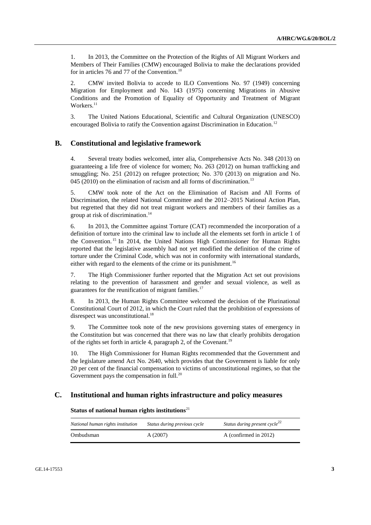1. In 2013, the Committee on the Protection of the Rights of All Migrant Workers and Members of Their Families (CMW) encouraged Bolivia to make the declarations provided for in articles 76 and 77 of the Convention.<sup>10</sup>

2. CMW invited Bolivia to accede to ILO Conventions No. 97 (1949) concerning Migration for Employment and No. 143 (1975) concerning Migrations in Abusive Conditions and the Promotion of Equality of Opportunity and Treatment of Migrant Workers.<sup>11</sup>

3. The United Nations Educational, Scientific and Cultural Organization (UNESCO) encouraged Bolivia to ratify the Convention against Discrimination in Education.<sup>12</sup>

#### **B. Constitutional and legislative framework**

4. Several treaty bodies welcomed, inter alia, Comprehensive Acts No. 348 (2013) on guaranteeing a life free of violence for women; No. 263 (2012) on human trafficking and smuggling; No. 251 (2012) on refugee protection; No. 370 (2013) on migration and No. 045 (2010) on the elimination of racism and all forms of discrimination.<sup>13</sup>

5. CMW took note of the Act on the Elimination of Racism and All Forms of Discrimination, the related National Committee and the 2012–2015 National Action Plan, but regretted that they did not treat migrant workers and members of their families as a group at risk of discrimination.<sup>14</sup>

6. In 2013, the Committee against Torture (CAT) recommended the incorporation of a definition of torture into the criminal law to include all the elements set forth in article 1 of the Convention. <sup>15</sup> In 2014, the United Nations High Commissioner for Human Rights reported that the legislative assembly had not yet modified the definition of the crime of torture under the Criminal Code, which was not in conformity with international standards, either with regard to the elements of the crime or its punishment.<sup>16</sup>

7. The High Commissioner further reported that the Migration Act set out provisions relating to the prevention of harassment and gender and sexual violence, as well as guarantees for the reunification of migrant families.<sup>17</sup>

8. In 2013, the Human Rights Committee welcomed the decision of the Plurinational Constitutional Court of 2012, in which the Court ruled that the prohibition of expressions of disrespect was unconstitutional.<sup>18</sup>

9. The Committee took note of the new provisions governing states of emergency in the Constitution but was concerned that there was no law that clearly prohibits derogation of the rights set forth in article 4, paragraph 2, of the Covenant.<sup>19</sup>

10. The High Commissioner for Human Rights recommended that the Government and the legislature amend Act No. 2640, which provides that the Government is liable for only 20 per cent of the financial compensation to victims of unconstitutional regimes, so that the Government pays the compensation in full.<sup>20</sup>

## **C. Institutional and human rights infrastructure and policy measures**

#### **Status of national human rights institutions**<sup>21</sup>

| National human rights institution | Status during previous cycle | Status during present cycle <sup><math>22</math></sup> |
|-----------------------------------|------------------------------|--------------------------------------------------------|
| Ombudsman                         | A(2007)                      | A (confirmed in 2012)                                  |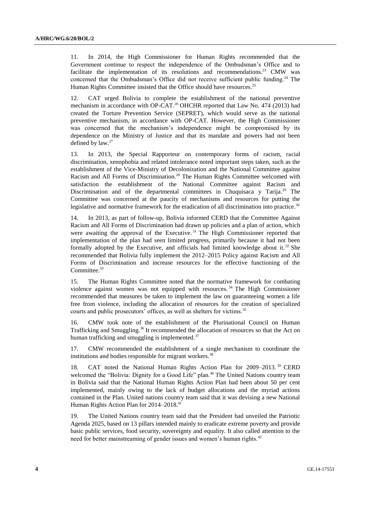11. In 2014, the High Commissioner for Human Rights recommended that the Government continue to respect the independence of the Ombudsman's Office and to facilitate the implementation of its resolutions and recommendations.<sup>23</sup> CMW was concerned that the Ombudsman's Office did not receive sufficient public funding.<sup>24</sup> The Human Rights Committee insisted that the Office should have resources.<sup>25</sup>

12. CAT urged Bolivia to complete the establishment of the national preventive mechanism in accordance with OP-CAT.<sup>26</sup> OHCHR reported that Law No. 474 (2013) had created the Torture Prevention Service (SEPRET), which would serve as the national preventive mechanism, in accordance with OP-CAT. However, the High Commissioner was concerned that the mechanism's independence might be compromised by its dependence on the Ministry of Justice and that its mandate and powers had not been defined by  $law.<sup>27</sup>$ 

13. In 2013, the Special Rapporteur on contemporary forms of racism, racial discrimination, xenophobia and related intolerance noted important steps taken, such as the establishment of the Vice-Ministry of Decolonization and the National Committee against Racism and All Forms of Discrimination.<sup>28</sup> The Human Rights Committee welcomed with satisfaction the establishment of the National Committee against Racism and Discrimination and of the departmental committees in Chuquisaca y Tarija.<sup>29</sup> The Committee was concerned at the paucity of mechanisms and resources for putting the legislative and normative framework for the eradication of all discrimination into practice.<sup>30</sup>

14. In 2013, as part of follow-up, Bolivia informed CERD that the Committee Against Racism and All Forms of Discrimination had drawn up policies and a plan of action, which were awaiting the approval of the Executive.<sup>31</sup> The High Commissioner reported that implementation of the plan had seen limited progress, primarily because it had not been formally adopted by the Executive, and officials had limited knowledge about it.<sup>32</sup> She recommended that Bolivia fully implement the 2012–2015 Policy against Racism and All Forms of Discrimination and increase resources for the effective functioning of the Committee.<sup>33</sup>

15. The Human Rights Committee noted that the normative framework for combating violence against women was not equipped with resources. <sup>34</sup> The High Commissioner recommended that measures be taken to implement the law on guaranteeing women a life free from violence, including the allocation of resources for the creation of specialized courts and public prosecutors' offices, as well as shelters for victims.<sup>35</sup>

16. CMW took note of the establishment of the Plurinational Council on Human Trafficking and Smuggling.<sup>36</sup> It recommended the allocation of resources so that the Act on human trafficking and smuggling is implemented.<sup>37</sup>

17. CMW recommended the establishment of a single mechanism to coordinate the institutions and bodies responsible for migrant workers.<sup>38</sup>

18. CAT noted the National Human Rights Action Plan for 2009–2013.<sup>39</sup> CERD welcomed the "Bolivia: Dignity for a Good Life" plan.<sup>40</sup> The United Nations country team in Bolivia said that the National Human Rights Action Plan had been about 50 per cent implemented, mainly owing to the lack of budget allocations and the myriad actions contained in the Plan. United nations country team said that it was devising a new National Human Rights Action Plan for 2014–2018. 41

19. The United Nations country team said that the President had unveiled the Patriotic Agenda 2025, based on 13 pillars intended mainly to eradicate extreme poverty and provide basic public services, food security, sovereignty and equality. It also called attention to the need for better mainstreaming of gender issues and women's human rights.<sup>42</sup>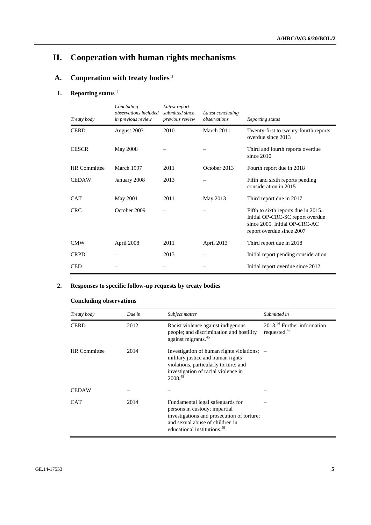# **II. Cooperation with human rights mechanisms**

## A. Cooperation with treaty bodies<sup>43</sup>

# 1. **Reporting status**<sup>44</sup>

| Treaty body         | Concluding<br>observations included<br>in previous review | Latest report<br>submitted since<br>previous review | Latest concluding<br>observations | Reporting status                                                                                                                      |
|---------------------|-----------------------------------------------------------|-----------------------------------------------------|-----------------------------------|---------------------------------------------------------------------------------------------------------------------------------------|
| <b>CERD</b>         | August 2003                                               | 2010                                                | March 2011                        | Twenty-first to twenty-fourth reports<br>overdue since 2013                                                                           |
| <b>CESCR</b>        | May 2008                                                  |                                                     |                                   | Third and fourth reports overdue<br>since $2010$                                                                                      |
| <b>HR</b> Committee | March 1997                                                | 2011                                                | October 2013                      | Fourth report due in 2018                                                                                                             |
| <b>CEDAW</b>        | January 2008                                              | 2013                                                |                                   | Fifth and sixth reports pending<br>consideration in 2015                                                                              |
| <b>CAT</b>          | May 2001                                                  | 2011                                                | May 2013                          | Third report due in 2017                                                                                                              |
| <b>CRC</b>          | October 2009                                              |                                                     |                                   | Fifth to sixth reports due in 2015.<br>Initial OP-CRC-SC report overdue<br>since 2005. Initial OP-CRC-AC<br>report overdue since 2007 |
| <b>CMW</b>          | April 2008                                                | 2011                                                | April 2013                        | Third report due in 2018                                                                                                              |
| <b>CRPD</b>         |                                                           | 2013                                                |                                   | Initial report pending consideration                                                                                                  |
| <b>CED</b>          |                                                           |                                                     |                                   | Initial report overdue since 2012                                                                                                     |

## **2. Responses to specific follow-up requests by treaty bodies**

## **Concluding observations**

| Treaty body         | Due in | Subject matter                                                                                                                                                                                | Submitted in                                               |
|---------------------|--------|-----------------------------------------------------------------------------------------------------------------------------------------------------------------------------------------------|------------------------------------------------------------|
| <b>CERD</b>         | 2012   | Racist violence against indigenous<br>people; and discrimination and hostility<br>against migrants. <sup>45</sup>                                                                             | 2013. <sup>46</sup> Further information<br>requested. $47$ |
| <b>HR</b> Committee | 2014   | Investigation of human rights violations; –<br>military justice and human rights<br>violations, particularly torture; and<br>investigation of racial violence in<br>2008.48                   |                                                            |
| <b>CEDAW</b>        |        |                                                                                                                                                                                               |                                                            |
| <b>CAT</b>          | 2014   | Fundamental legal safeguards for<br>persons in custody; impartial<br>investigations and prosecution of torture;<br>and sexual abuse of children in<br>educational institutions. <sup>49</sup> |                                                            |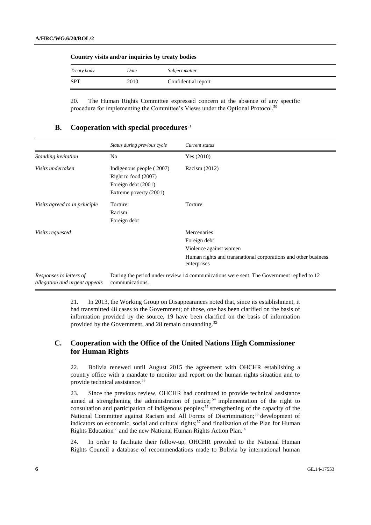| Country visits and/or inquiries by treaty bodies |      |                     |  |
|--------------------------------------------------|------|---------------------|--|
| Treaty body                                      | Date | Subject matter      |  |
| <b>SPT</b>                                       | 2010 | Confidential report |  |

20. The Human Rights Committee expressed concern at the absence of any specific procedure for implementing the Committee's Views under the Optional Protocol.<sup>50</sup>

#### **B.** Cooperation with special procedures<sup>51</sup>

|                                                          | Status during previous cycle                                                                      | Current status                                                                                                                         |
|----------------------------------------------------------|---------------------------------------------------------------------------------------------------|----------------------------------------------------------------------------------------------------------------------------------------|
| Standing invitation                                      | N <sub>0</sub>                                                                                    | Yes $(2010)$                                                                                                                           |
| Visits undertaken                                        | Indigenous people (2007)<br>Right to food (2007)<br>Foreign debt (2001)<br>Extreme poverty (2001) | Racism (2012)                                                                                                                          |
| Visits agreed to in principle                            | Torture<br>Racism<br>Foreign debt                                                                 | Torture                                                                                                                                |
| <i>Visits requested</i>                                  |                                                                                                   | Mercenaries<br>Foreign debt<br>Violence against women<br>Human rights and transnational corporations and other business<br>enterprises |
| Responses to letters of<br>allegation and urgent appeals | communications.                                                                                   | During the period under review 14 communications were sent. The Government replied to 12                                               |

21. In 2013, the Working Group on Disappearances noted that, since its establishment, it had transmitted 48 cases to the Government; of those, one has been clarified on the basis of information provided by the source, 19 have been clarified on the basis of information provided by the Government, and 28 remain outstanding.<sup>52</sup>

### **C. Cooperation with the Office of the United Nations High Commissioner for Human Rights**

22. Bolivia renewed until August 2015 the agreement with OHCHR establishing a country office with a mandate to monitor and report on the human rights situation and to provide technical assistance.<sup>53</sup>

23. Since the previous review, OHCHR had continued to provide technical assistance aimed at strengthening the administration of justice;  $54$  implementation of the right to consultation and participation of indigenous peoples;<sup>55</sup> strengthening of the capacity of the National Committee against Racism and All Forms of Discrimination;<sup>56</sup> development of indicators on economic, social and cultural rights;<sup>57</sup> and finalization of the Plan for Human Rights Education<sup>58</sup> and the new National Human Rights Action Plan.<sup>59</sup>

24. In order to facilitate their follow-up, OHCHR provided to the National Human Rights Council a database of recommendations made to Bolivia by international human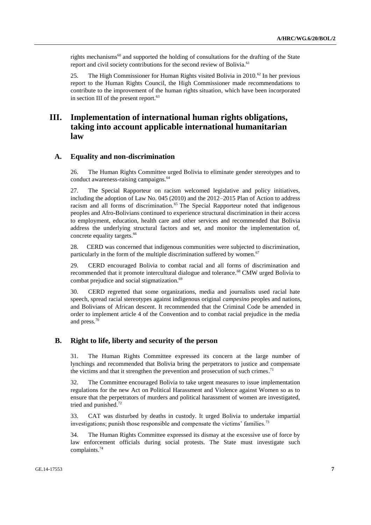rights mechanisms<sup>60</sup> and supported the holding of consultations for the drafting of the State report and civil society contributions for the second review of Bolivia.<sup>61</sup>

25. The High Commissioner for Human Rights visited Bolivia in 2010.<sup>62</sup> In her previous report to the Human Rights Council, the High Commissioner made recommendations to contribute to the improvement of the human rights situation, which have been incorporated in section III of the present report.<sup>63</sup>

## **III. Implementation of international human rights obligations, taking into account applicable international humanitarian law**

#### **A. Equality and non-discrimination**

26. The Human Rights Committee urged Bolivia to eliminate gender stereotypes and to conduct awareness-raising campaigns. 64

27. The Special Rapporteur on racism welcomed legislative and policy initiatives, including the adoption of Law No. 045 (2010) and the 2012–2015 Plan of Action to address racism and all forms of discrimination.<sup>65</sup> The Special Rapporteur noted that indigenous peoples and Afro-Bolivians continued to experience structural discrimination in their access to employment, education, health care and other services and recommended that Bolivia address the underlying structural factors and set, and monitor the implementation of, concrete equality targets.<sup>66</sup>

28. CERD was concerned that indigenous communities were subjected to discrimination, particularly in the form of the multiple discrimination suffered by women.<sup>67</sup>

29. CERD encouraged Bolivia to combat racial and all forms of discrimination and recommended that it promote intercultural dialogue and tolerance.<sup>68</sup> CMW urged Bolivia to combat prejudice and social stigmatization.<sup>69</sup>

30. CERD regretted that some organizations, media and journalists used racial hate speech, spread racial stereotypes against indigenous original *campesino* peoples and nations, and Bolivians of African descent. It recommended that the Criminal Code be amended in order to implement article 4 of the Convention and to combat racial prejudice in the media and press.<sup>70</sup>

#### **B. Right to life, liberty and security of the person**

31. The Human Rights Committee expressed its concern at the large number of lynchings and recommended that Bolivia bring the perpetrators to justice and compensate the victims and that it strengthen the prevention and prosecution of such crimes.<sup>71</sup>

32. The Committee encouraged Bolivia to take urgent measures to issue implementation regulations for the new Act on Political Harassment and Violence against Women so as to ensure that the perpetrators of murders and political harassment of women are investigated, tried and punished. 72

33. CAT was disturbed by deaths in custody. It urged Bolivia to undertake impartial investigations; punish those responsible and compensate the victims' families.<sup>73</sup>

34. The Human Rights Committee expressed its dismay at the excessive use of force by law enforcement officials during social protests. The State must investigate such complaints.74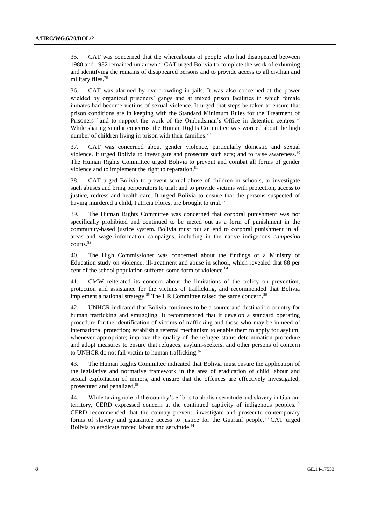35. CAT was concerned that the whereabouts of people who had disappeared between 1980 and 1982 remained unknown.<sup>75</sup> CAT urged Bolivia to complete the work of exhuming and identifying the remains of disappeared persons and to provide access to all civilian and military files.<sup>76</sup>

36. CAT was alarmed by overcrowding in jails. It was also concerned at the power wielded by organized prisoners' gangs and at mixed prison facilities in which female inmates had become victims of sexual violence. It urged that steps be taken to ensure that prison conditions are in keeping with the Standard Minimum Rules for the Treatment of Prisoners<sup>77</sup> and to support the work of the Ombudsman's Office in detention centres.<sup>78</sup> While sharing similar concerns, the Human Rights Committee was worried about the high number of children living in prison with their families.<sup>79</sup>

37. CAT was concerned about gender violence, particularly domestic and sexual violence. It urged Bolivia to investigate and prosecute such acts; and to raise awareness.<sup>80</sup> The Human Rights Committee urged Bolivia to prevent and combat all forms of gender violence and to implement the right to reparation.<sup>81</sup>

38. CAT urged Bolivia to prevent sexual abuse of children in schools, to investigate such abuses and bring perpetrators to trial; and to provide victims with protection, access to justice, redress and health care. It urged Bolivia to ensure that the persons suspected of having murdered a child, Patricia Flores, are brought to trial.<sup>82</sup>

39. The Human Rights Committee was concerned that corporal punishment was not specifically prohibited and continued to be meted out as a form of punishment in the community-based justice system. Bolivia must put an end to corporal punishment in all areas and wage information campaigns, including in the native indigenous *campesino* courts. 83

40. The High Commissioner was concerned about the findings of a Ministry of Education study on violence, ill-treatment and abuse in school, which revealed that 88 per cent of the school population suffered some form of violence.<sup>84</sup>

41. CMW reiterated its concern about the limitations of the policy on prevention, protection and assistance for the victims of trafficking, and recommended that Bolivia implement a national strategy.<sup>85</sup> The HR Committee raised the same concern.<sup>86</sup>

42. UNHCR indicated that Bolivia continues to be a source and destination country for human trafficking and smuggling. It recommended that it develop a standard operating procedure for the identification of victims of trafficking and those who may be in need of international protection; establish a referral mechanism to enable them to apply for asylum, whenever appropriate; improve the quality of the refugee status determination procedure and adopt measures to ensure that refugees, asylum-seekers, and other persons of concern to UNHCR do not fall victim to human trafficking. $87$ 

43. The Human Rights Committee indicated that Bolivia must ensure the application of the legislative and normative framework in the area of eradication of child labour and sexual exploitation of minors, and ensure that the offences are effectively investigated, prosecuted and penalized. 88

44. While taking note of the country's efforts to abolish servitude and slavery in Guaraní territory, CERD expressed concern at the continued captivity of indigenous peoples. <sup>89</sup> CERD recommended that the country prevent, investigate and prosecute contemporary forms of slavery and guarantee access to justice for the Guaraní people. <sup>90</sup> CAT urged Bolivia to eradicate forced labour and servitude.<sup>91</sup>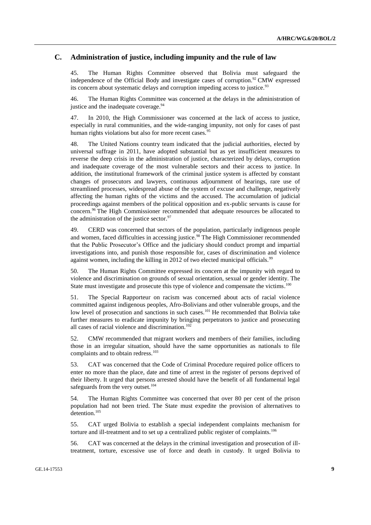#### **C. Administration of justice, including impunity and the rule of law**

45. The Human Rights Committee observed that Bolivia must safeguard the independence of the Official Body and investigate cases of corruption.<sup>92</sup> CMW expressed its concern about systematic delays and corruption impeding access to justice.<sup>93</sup>

46. The Human Rights Committee was concerned at the delays in the administration of justice and the inadequate coverage.<sup>94</sup>

47. In 2010, the High Commissioner was concerned at the lack of access to justice, especially in rural communities, and the wide-ranging impunity, not only for cases of past human rights violations but also for more recent cases.<sup>95</sup>

48. The United Nations country team indicated that the judicial authorities, elected by universal suffrage in 2011, have adopted substantial but as yet insufficient measures to reverse the deep crisis in the administration of justice, characterized by delays, corruption and inadequate coverage of the most vulnerable sectors and their access to justice. In addition, the institutional framework of the criminal justice system is affected by constant changes of prosecutors and lawyers, continuous adjournment of hearings, rare use of streamlined processes, widespread abuse of the system of excuse and challenge, negatively affecting the human rights of the victims and the accused. The accumulation of judicial proceedings against members of the political opposition and ex-public servants is cause for concern. <sup>96</sup> The High Commissioner recommended that adequate resources be allocated to the administration of the justice sector. $97$ 

49. CERD was concerned that sectors of the population, particularly indigenous people and women, faced difficulties in accessing justice.<sup>98</sup> The High Commissioner recommended that the Public Prosecutor's Office and the judiciary should conduct prompt and impartial investigations into, and punish those responsible for, cases of discrimination and violence against women, including the killing in 2012 of two elected municipal officials.<sup>99</sup>

50. The Human Rights Committee expressed its concern at the impunity with regard to violence and discrimination on grounds of sexual orientation, sexual or gender identity. The State must investigate and prosecute this type of violence and compensate the victims.<sup>100</sup>

51. The Special Rapporteur on racism was concerned about acts of racial violence committed against indigenous peoples, Afro-Bolivians and other vulnerable groups, and the low level of prosecution and sanctions in such cases.<sup>101</sup> He recommended that Bolivia take further measures to eradicate impunity by bringing perpetrators to justice and prosecuting all cases of racial violence and discrimination. $102$ 

52. CMW recommended that migrant workers and members of their families, including those in an irregular situation, should have the same opportunities as nationals to file complaints and to obtain redress.<sup>103</sup>

53. CAT was concerned that the Code of Criminal Procedure required police officers to enter no more than the place, date and time of arrest in the register of persons deprived of their liberty. It urged that persons arrested should have the benefit of all fundamental legal safeguards from the very outset.<sup>104</sup>

54. The Human Rights Committee was concerned that over 80 per cent of the prison population had not been tried. The State must expedite the provision of alternatives to detention. 105

55. CAT urged Bolivia to establish a special independent complaints mechanism for torture and ill-treatment and to set up a centralized public register of complaints.<sup>106</sup>

56. CAT was concerned at the delays in the criminal investigation and prosecution of illtreatment, torture, excessive use of force and death in custody. It urged Bolivia to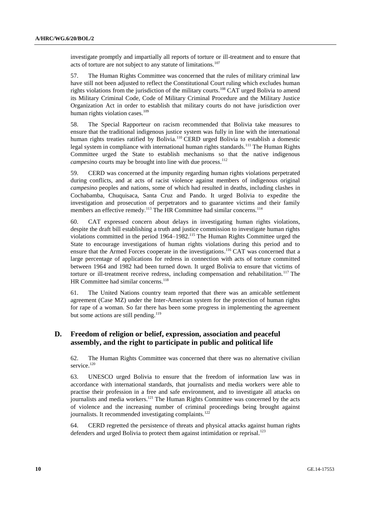investigate promptly and impartially all reports of torture or ill-treatment and to ensure that acts of torture are not subject to any statute of limitations.<sup>107</sup>

57. The Human Rights Committee was concerned that the rules of military criminal law have still not been adjusted to reflect the Constitutional Court ruling which excludes human rights violations from the jurisdiction of the military courts.<sup>108</sup> CAT urged Bolivia to amend its Military Criminal Code, Code of Military Criminal Procedure and the Military Justice Organization Act in order to establish that military courts do not have jurisdiction over human rights violation cases.<sup>109</sup>

58. The Special Rapporteur on racism recommended that Bolivia take measures to ensure that the traditional indigenous justice system was fully in line with the international human rights treaties ratified by Bolivia.<sup>110</sup> CERD urged Bolivia to establish a domestic legal system in compliance with international human rights standards.<sup>111</sup> The Human Rights Committee urged the State to establish mechanisms so that the native indigenous campesino courts may be brought into line with due process.<sup>112</sup>

59. CERD was concerned at the impunity regarding human rights violations perpetrated during conflicts, and at acts of racist violence against members of indigenous original *campesino* peoples and nations, some of which had resulted in deaths, including clashes in Cochabamba, Chuquisaca, Santa Cruz and Pando. It urged Bolivia to expedite the investigation and prosecution of perpetrators and to guarantee victims and their family members an effective remedy.<sup>113</sup> The HR Committee had similar concerns.<sup>114</sup>

60. CAT expressed concern about delays in investigating human rights violations, despite the draft bill establishing a truth and justice commission to investigate human rights violations committed in the period 1964–1982.<sup>115</sup> The Human Rights Committee urged the State to encourage investigations of human rights violations during this period and to ensure that the Armed Forces cooperate in the investigations.<sup>116</sup> CAT was concerned that a large percentage of applications for redress in connection with acts of torture committed between 1964 and 1982 had been turned down. It urged Bolivia to ensure that victims of torture or ill-treatment receive redress, including compensation and rehabilitation.<sup>117</sup> The HR Committee had similar concerns.<sup>118</sup>

61. The United Nations country team reported that there was an amicable settlement agreement (Case MZ) under the Inter-American system for the protection of human rights for rape of a woman. So far there has been some progress in implementing the agreement but some actions are still pending.<sup>119</sup>

#### **D. Freedom of religion or belief, expression, association and peaceful assembly, and the right to participate in public and political life**

62. The Human Rights Committee was concerned that there was no alternative civilian service.<sup>120</sup>

63. UNESCO urged Bolivia to ensure that the freedom of information law was in accordance with international standards, that journalists and media workers were able to practise their profession in a free and safe environment, and to investigate all attacks on journalists and media workers.<sup>121</sup> The Human Rights Committee was concerned by the acts of violence and the increasing number of criminal proceedings being brought against journalists. It recommended investigating complaints.<sup>122</sup>

64. CERD regretted the persistence of threats and physical attacks against human rights defenders and urged Bolivia to protect them against intimidation or reprisal.<sup>123</sup>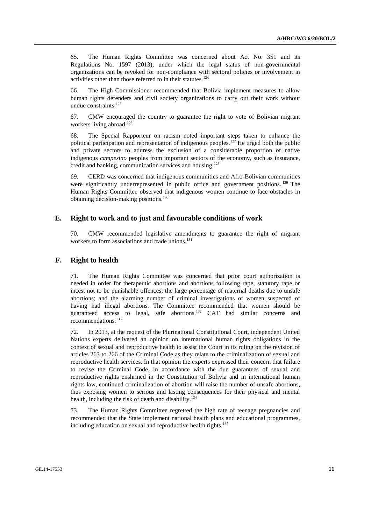65. The Human Rights Committee was concerned about Act No. 351 and its Regulations No. 1597 (2013), under which the legal status of non-governmental organizations can be revoked for non-compliance with sectoral policies or involvement in activities other than those referred to in their statutes.<sup>124</sup>

66. The High Commissioner recommended that Bolivia implement measures to allow human rights defenders and civil society organizations to carry out their work without undue constraints.<sup>125</sup>

67. CMW encouraged the country to guarantee the right to vote of Bolivian migrant workers living abroad.<sup>126</sup>

68. The Special Rapporteur on racism noted important steps taken to enhance the political participation and representation of indigenous peoples.<sup>127</sup> He urged both the public and private sectors to address the exclusion of a considerable proportion of native indigenous *campesino* peoples from important sectors of the economy, such as insurance, credit and banking, communication services and housing.<sup>128</sup>

69. CERD was concerned that indigenous communities and Afro-Bolivian communities were significantly underrepresented in public office and government positions. <sup>129</sup> The Human Rights Committee observed that indigenous women continue to face obstacles in obtaining decision-making positions.<sup>130</sup>

#### **E. Right to work and to just and favourable conditions of work**

70. CMW recommended legislative amendments to guarantee the right of migrant workers to form associations and trade unions.<sup>131</sup>

#### **F. Right to health**

71. The Human Rights Committee was concerned that prior court authorization is needed in order for therapeutic abortions and abortions following rape, statutory rape or incest not to be punishable offences; the large percentage of maternal deaths due to unsafe abortions; and the alarming number of criminal investigations of women suspected of having had illegal abortions. The Committee recommended that women should be guaranteed access to legal, safe abortions.<sup>132</sup> CAT had similar concerns and recommendations.<sup>133</sup>

72. In 2013, at the request of the Plurinational Constitutional Court, independent United Nations experts delivered an opinion on international human rights obligations in the context of sexual and reproductive health to assist the Court in its ruling on the revision of articles 263 to 266 of the Criminal Code as they relate to the criminalization of sexual and reproductive health services. In that opinion the experts expressed their concern that failure to revise the Criminal Code, in accordance with the due guarantees of sexual and reproductive rights enshrined in the Constitution of Bolivia and in international human rights law, continued criminalization of abortion will raise the number of unsafe abortions, thus exposing women to serious and lasting consequences for their physical and mental health, including the risk of death and disability.<sup>134</sup>

73. The Human Rights Committee regretted the high rate of teenage pregnancies and recommended that the State implement national health plans and educational programmes, including education on sexual and reproductive health rights.<sup>135</sup>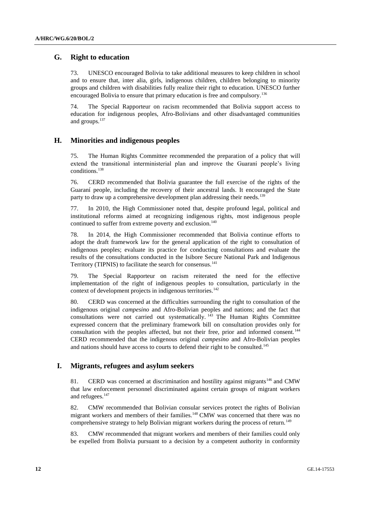### **G. Right to education**

73. UNESCO encouraged Bolivia to take additional measures to keep children in school and to ensure that, inter alia, girls, indigenous children, children belonging to minority groups and children with disabilities fully realize their right to education. UNESCO further encouraged Bolivia to ensure that primary education is free and compulsory.<sup>136</sup>

74. The Special Rapporteur on racism recommended that Bolivia support access to education for indigenous peoples, Afro-Bolivians and other disadvantaged communities and groups.<sup>137</sup>

#### **H. Minorities and indigenous peoples**

75. The Human Rights Committee recommended the preparation of a policy that will extend the transitional interministerial plan and improve the Guaraní people's living conditions.<sup>138</sup>

76. CERD recommended that Bolivia guarantee the full exercise of the rights of the Guaraní people, including the recovery of their ancestral lands. It encouraged the State party to draw up a comprehensive development plan addressing their needs.<sup>139</sup>

77. In 2010, the High Commissioner noted that, despite profound legal, political and institutional reforms aimed at recognizing indigenous rights, most indigenous people continued to suffer from extreme poverty and exclusion.<sup>140</sup>

78. In 2014, the High Commissioner recommended that Bolivia continue efforts to adopt the draft framework law for the general application of the right to consultation of indigenous peoples; evaluate its practice for conducting consultations and evaluate the results of the consultations conducted in the Isibore Secure National Park and Indigenous Territory (TIPNIS) to facilitate the search for consensus.<sup>141</sup>

79. The Special Rapporteur on racism reiterated the need for the effective implementation of the right of indigenous peoples to consultation, particularly in the context of development projects in indigenous territories.<sup>142</sup>

80. CERD was concerned at the difficulties surrounding the right to consultation of the indigenous original *campesino* and Afro-Bolivian peoples and nations; and the fact that consultations were not carried out systematically.  $143$  The Human Rights Committee expressed concern that the preliminary framework bill on consultation provides only for consultation with the peoples affected, but not their free, prior and informed consent.<sup>144</sup> CERD recommended that the indigenous original *campesino* and Afro-Bolivian peoples and nations should have access to courts to defend their right to be consulted.<sup>145</sup>

#### **I. Migrants, refugees and asylum seekers**

81. CERD was concerned at discrimination and hostility against migrants<sup>146</sup> and CMW that law enforcement personnel discriminated against certain groups of migrant workers and refugees.<sup>147</sup>

82. CMW recommended that Bolivian consular services protect the rights of Bolivian migrant workers and members of their families.<sup>148</sup> CMW was concerned that there was no comprehensive strategy to help Bolivian migrant workers during the process of return.<sup>149</sup>

83. CMW recommended that migrant workers and members of their families could only be expelled from Bolivia pursuant to a decision by a competent authority in conformity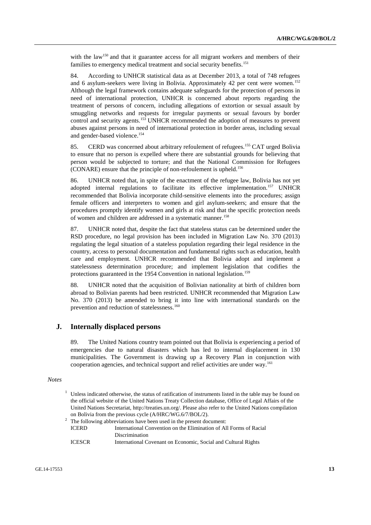with the law<sup>150</sup> and that it guarantee access for all migrant workers and members of their families to emergency medical treatment and social security benefits.<sup>151</sup>

84. According to UNHCR statistical data as at December 2013, a total of 748 refugees and 6 asylum-seekers were living in Bolivia. Approximately 42 per cent were women.<sup>152</sup> Although the legal framework contains adequate safeguards for the protection of persons in need of international protection, UNHCR is concerned about reports regarding the treatment of persons of concern, including allegations of extortion or sexual assault by smuggling networks and requests for irregular payments or sexual favours by border control and security agents.<sup>153</sup> UNHCR recommended the adoption of measures to prevent abuses against persons in need of international protection in border areas, including sexual and gender-based violence.<sup>154</sup>

85. CERD was concerned about arbitrary refoulement of refugees.<sup>155</sup> CAT urged Bolivia to ensure that no person is expelled where there are substantial grounds for believing that person would be subjected to torture; and that the National Commission for Refugees (CONARE) ensure that the principle of non-refoulement is upheld.<sup>156</sup>

86. UNHCR noted that, in spite of the enactment of the refugee law, Bolivia has not yet adopted internal regulations to facilitate its effective implementation.<sup>157</sup> UNHCR recommended that Bolivia incorporate child-sensitive elements into the procedures; assign female officers and interpreters to women and girl asylum-seekers; and ensure that the procedures promptly identify women and girls at risk and that the specific protection needs of women and children are addressed in a systematic manner.<sup>158</sup>

87. UNHCR noted that, despite the fact that stateless status can be determined under the RSD procedure, no legal provision has been included in Migration Law No. 370 (2013) regulating the legal situation of a stateless population regarding their legal residence in the country, access to personal documentation and fundamental rights such as education, health care and employment. UNHCR recommended that Bolivia adopt and implement a statelessness determination procedure; and implement legislation that codifies the protections guaranteed in the 1954 Convention in national legislation.<sup>159</sup>

88. UNHCR noted that the acquisition of Bolivian nationality at birth of children born abroad to Bolivian parents had been restricted. UNHCR recommended that Migration Law No. 370 (2013) be amended to bring it into line with international standards on the prevention and reduction of statelessness.<sup>160</sup>

#### **J. Internally displaced persons**

89. The United Nations country team pointed out that Bolivia is experiencing a period of emergencies due to natural disasters which has led to internal displacement in 130 municipalities. The Government is drawing up a Recovery Plan in conjunction with cooperation agencies, and technical support and relief activities are under way.<sup>161</sup>

#### *Notes*

<sup>1</sup> Unless indicated otherwise, the status of ratification of instruments listed in the table may be found on the official website of the United Nations Treaty Collection database, Office of Legal Affairs of the United Nations Secretariat, [http://treaties.un.org/.](http://treaties.un.org/) Please also refer to the United Nations compilation on Bolivia from the previous cycle (A/HRC/WG.6/7/BOL/2).

|               | $2\degree$ The following abbreviations have been used in the present document: |
|---------------|--------------------------------------------------------------------------------|
| <b>ICERD</b>  | International Convention on the Elimination of All Forms of Racial             |
|               | <b>Discrimination</b>                                                          |
| <b>ICESCR</b> | International Covenant on Economic, Social and Cultural Rights                 |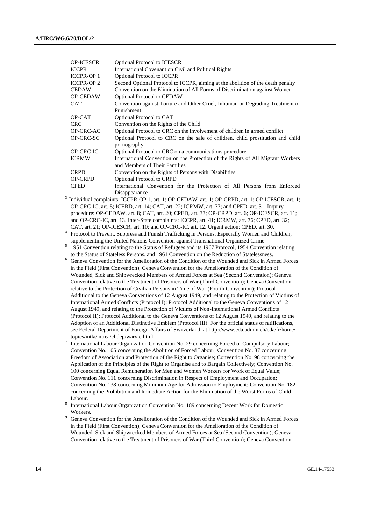| <b>OP-ICESCR</b>  | <b>Optional Protocol to ICESCR</b>                                                     |
|-------------------|----------------------------------------------------------------------------------------|
| <b>ICCPR</b>      | International Covenant on Civil and Political Rights                                   |
| <b>ICCPR-OP 1</b> | <b>Optional Protocol to ICCPR</b>                                                      |
| <b>ICCPR-OP 2</b> | Second Optional Protocol to ICCPR, aiming at the abolition of the death penalty        |
| <b>CEDAW</b>      | Convention on the Elimination of All Forms of Discrimination against Women             |
| <b>OP-CEDAW</b>   | <b>Optional Protocol to CEDAW</b>                                                      |
| CAT               | Convention against Torture and Other Cruel, Inhuman or Degrading Treatment or          |
|                   | Punishment                                                                             |
| OP-CAT            | Optional Protocol to CAT                                                               |
| <b>CRC</b>        | Convention on the Rights of the Child                                                  |
| OP-CRC-AC         | Optional Protocol to CRC on the involvement of children in armed conflict              |
| OP-CRC-SC         | Optional Protocol to CRC on the sale of children, child prostitution and child         |
|                   | pornography                                                                            |
| OP-CRC-IC         | Optional Protocol to CRC on a communications procedure                                 |
| <b>ICRMW</b>      | International Convention on the Protection of the Rights of All Migrant Workers        |
|                   | and Members of Their Families                                                          |
| <b>CRPD</b>       | Convention on the Rights of Persons with Disabilities                                  |
| <b>OP-CRPD</b>    | <b>Optional Protocol to CRPD</b>                                                       |
| <b>CPED</b>       | International Convention for the Protection of All Persons from Enforced               |
|                   | Disappearance                                                                          |
|                   | $Individual complete UCDD OD 1 get 1: OD CEDAW get 1: OD CDDD get 1: OD ICECCD get 1:$ |

- <sup>3</sup> Individual complaints: ICCPR-OP 1, art. 1; OP-CEDAW, art. 1; OP-CRPD, art. 1; OP-ICESCR, art. 1; OP-CRC-IC, art. 5; ICERD, art. 14; CAT, art. 22; ICRMW, art. 77; and CPED, art. 31. Inquiry procedure: OP-CEDAW, art. 8; CAT, art. 20; CPED, art. 33; OP-CRPD, art. 6; OP-ICESCR, art. 11; and OP-CRC-IC, art. 13. Inter-State complaints: ICCPR, art. 41; ICRMW, art. 76; CPED, art. 32; CAT, art. 21; OP-ICESCR, art. 10; and OP-CRC-IC, art. 12. Urgent action: CPED, art. 30.
- <sup>4</sup> Protocol to Prevent, Suppress and Punish Trafficking in Persons, Especially Women and Children, supplementing the United Nations Convention against Transnational Organized Crime.
- 5 1951 Convention relating to the Status of Refugees and its 1967 Protocol, 1954 Convention relating to the Status of Stateless Persons, and 1961 Convention on the Reduction of Statelessness.
- <sup>6</sup> Geneva Convention for the Amelioration of the Condition of the Wounded and Sick in Armed Forces in the Field (First Convention); Geneva Convention for the Amelioration of the Condition of Wounded, Sick and Shipwrecked Members of Armed Forces at Sea (Second Convention); Geneva Convention relative to the Treatment of Prisoners of War (Third Convention); Geneva Convention relative to the Protection of Civilian Persons in Time of War (Fourth Convention); Protocol Additional to the Geneva Conventions of 12 August 1949, and relating to the Protection of Victims of International Armed Conflicts (Protocol I); Protocol Additional to the Geneva Conventions of 12 August 1949, and relating to the Protection of Victims of Non-International Armed Conflicts (Protocol II); Protocol Additional to the Geneva Conventions of 12 August 1949, and relating to the Adoption of an Additional Distinctive Emblem (Protocol III). For the official status of ratifications, see Federal Department of Foreign Affairs of Switzerland, at [http://www.eda.admin.ch/eda/fr/home/](http://www.eda.admin.ch/eda/fr/home/topics/intla/intrea/chdep/warvic.html) [topics/intla/intrea/chdep/warvic.html.](http://www.eda.admin.ch/eda/fr/home/topics/intla/intrea/chdep/warvic.html)
- 7 International Labour Organization Convention No. 29 concerning Forced or Compulsory Labour; Convention No. 105 concerning the Abolition of Forced Labour; Convention No. 87 concerning Freedom of Association and Protection of the Right to Organise; Convention No. 98 concerning the Application of the Principles of the Right to Organise and to Bargain Collectively; Convention No. 100 concerning Equal Remuneration for Men and Women Workers for Work of Equal Value; Convention No. 111 concerning Discrimination in Respect of Employment and Occupation; Convention No. 138 concerning Minimum Age for Admission to Employment; Convention No. 182 concerning the Prohibition and Immediate Action for the Elimination of the Worst Forms of Child Labour.
- 8 International Labour Organization Convention No. 189 concerning Decent Work for Domestic Workers.
- <sup>9</sup> Geneva Convention for the Amelioration of the Condition of the Wounded and Sick in Armed Forces in the Field (First Convention); Geneva Convention for the Amelioration of the Condition of Wounded, Sick and Shipwrecked Members of Armed Forces at Sea (Second Convention); Geneva Convention relative to the Treatment of Prisoners of War (Third Convention); Geneva Convention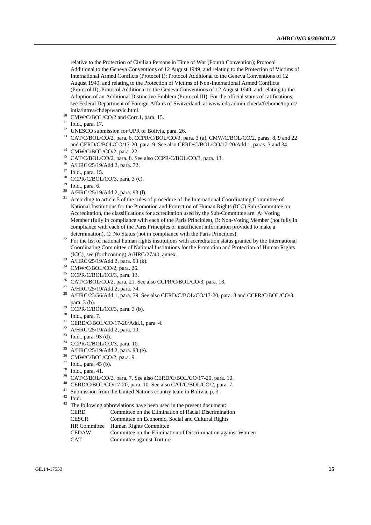relative to the Protection of Civilian Persons in Time of War (Fourth Convention); Protocol Additional to the Geneva Conventions of 12 August 1949, and relating to the Protection of Victims of International Armed Conflicts (Protocol I); Protocol Additional to the Geneva Conventions of 12 August 1949, and relating to the Protection of Victims of Non-International Armed Conflicts (Protocol II); Protocol Additional to the Geneva Conventions of 12 August 1949, and relating to the Adoption of an Additional Distinctive Emblem (Protocol III). For the official status of ratifications, see Federal Department of Foreign Affairs of Switzerland, at [www.eda.admin.ch/eda/fr/home/topics/](file:///C:/Users/E14F1/www.eda.admin.ch/eda/fr/home/topics/intla/intrea/chdep/warvic.html) [intla/intrea/chdep/warvic.html.](file:///C:/Users/E14F1/www.eda.admin.ch/eda/fr/home/topics/intla/intrea/chdep/warvic.html)

- <sup>10</sup> CMW/C/BOL/CO/2 and Corr.1, para. 15.
- <sup>11</sup> Ibid., para. 17.
- <sup>12</sup> UNESCO submission for UPR of Bolivia, para. 26.
- <sup>13</sup> CAT/C/BOL/CO/2, para. 6, CCPR/C/BOL/CO/3, para. 3 (a), CMW/C/BOL/CO/2, paras. 8, 9 and 22 and CERD/C/BOL/CO/17-20, para. 9. See also CERD/C/BOL/CO/17-20/Add.1, paras. 3 and 34.
- <sup>14</sup> CMW/C/BOL/CO/2, para. 22.
- <sup>15</sup> CAT/C/BOL/CO/2, para. 8. See also CCPR/C/BOL/CO/3, para. 13.
- <sup>16</sup> A/HRC/25/19/Add.2, para. 72.
- <sup>17</sup> Ibid., para. 15.
- $18$  CCPR/C/BOL/CO/3, para. 3 (c).
- <sup>19</sup> Ibid., para. 6.
- <sup>20</sup> A/HRC/25/19/Add.2, para. 93 (l).
- <sup>21</sup> According to article 5 of the rules of procedure of the International Coordinating Committee of National Institutions for the Promotion and Protection of Human Rights (ICC) Sub-Committee on Accreditation, the classifications for accreditation used by the Sub-Committee are: A: Voting Member (fully in compliance with each of the Paris Principles), B: Non-Voting Member (not fully in compliance with each of the Paris Principles or insufficient information provided to make a determination), C: No Status (not in compliance with the Paris Principles).
- <sup>22</sup> For the list of national human rights institutions with accreditation status granted by the International Coordinating Committee of National Institutions for the Promotion and Protection of Human Rights (ICC), see (forthcoming) A/HRC/27/40, annex.
- <sup>23</sup> A/HRC/25/19/Add.2, para. 93 (k).
- $24$  CMW/C/BOL/CO/2, para. 26.
- <sup>25</sup> CCPR/C/BOL/CO/3, para. 13.
- <sup>26</sup> CAT/C/BOL/CO/2, para. 21. See also CCPR/C/BOL/CO/3, para. 13.
- <sup>27</sup> A/HRC/25/19/Add.2, para. 74.
- <sup>28</sup> A/HRC/23/56/Add.1, para. 79. See also CERD/C/BOL/CO/17-20, para. 8 and CCPR/C/BOL/CO/3, para. 3 (b).
- $29$  CCPR/C/BOL/CO/3, para. 3 (b).
- <sup>30</sup> Ibid., para. 7.
- $^{31}$  CERD/C/BOL/CO/17-20/Add.1, para. 4.<br> $^{32}$  A HDC/25/10/Add.2, para. 10
- A/HRC/25/19/Add.2, para. 10.
- <sup>33</sup> Ibid., para. 93 (d).
- $^{34}$  CCPR/C/BOL/CO/3, para. 10.<br> $^{35}$  A/HDC/25/10/Add 2, name 02.
- <sup>35</sup> A/HRC/25/19/Add.2, para. 93 (e).
- <sup>36</sup> CMW/C/BOL/CO/2, para. 9.
- <sup>37</sup> Ibid., para. 45 (b).
- <sup>38</sup> Ibid., para. 41.
- <sup>39</sup> CAT/C/BOL/CO/2, para. 7. See also CERD/C/BOL/CO/17-20, para. 10.
- <sup>40</sup> CERD/C/BOL/CO/17-20, para. 10. See also CAT/C/BOL/CO/2, para. 7.
- <sup>41</sup> Submission from the United Nations country team in Bolivia, p. 3.
- <sup>42</sup> Ibid.
- $^{43}$  The following abbreviations have been used in the present document:
	- CERD Committee on the Elimination of Racial Discrimination<br>CESCR Committee on Economic. Social and Cultural Rights
	- Committee on Economic, Social and Cultural Rights
- HR Committee Human Rights Committee
	- CEDAW Committee on the Elimination of Discrimination against Women
- CAT Committee against Torture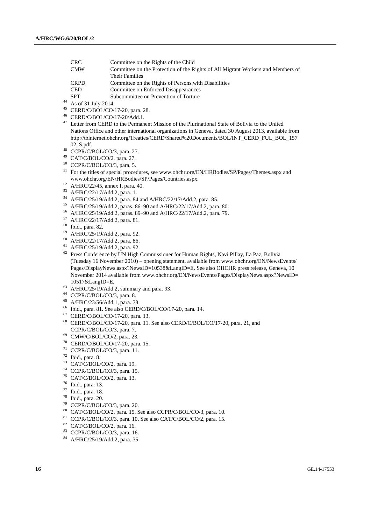| <b>CRC</b>  | Committee on the Rights of the Child                                            |
|-------------|---------------------------------------------------------------------------------|
| <b>CMW</b>  | Committee on the Protection of the Rights of All Migrant Workers and Members of |
|             | Their Families                                                                  |
| <b>CRPD</b> | Committee on the Rights of Persons with Disabilities                            |
| <b>CED</b>  | Committee on Enforced Disappearances                                            |
|             |                                                                                 |

- SPT Subcommittee on Prevention of Torture
- As of 31 July 2014.
- CERD/C/BOL/CO/17-20, para. 28.
- CERD/C/BOL/CO/17-20/Add.1.
- <sup>47</sup> Letter from CERD to the Permanent Mission of the Plurinational State of Bolivia to the United Nations Office and other international organizations in Geneva, dated 30 August 2013, available from [http://tbinternet.ohchr.org/Treaties/CERD/Shared%20Documents/BOL/INT\\_CERD\\_FUL\\_BOL\\_157](http://tbinternet.ohchr.org/Treaties/CERD/Shared%20Documents/BOL/INT_CERD_FUL_BOL_15702_S.pdf) [02\\_S.pdf.](http://tbinternet.ohchr.org/Treaties/CERD/Shared%20Documents/BOL/INT_CERD_FUL_BOL_15702_S.pdf)
- CCPR/C/BOL/CO/3, para. 27.
- CAT/C/BOL/CO/2, para. 27.
- CCPR/C/BOL/CO/3, para. 5.
- <sup>51</sup> For the titles of special procedures, see www.ohchr.org/EN/HRBodies/SP/Pages/Themes.aspx and www.ohchr.org/EN/HRBodies/SP/Pages/Countries.aspx.
- A/HRC/22/45, annex I, para. 40.
- A/HRC/22/17/Add.2, para. 1.
- A/HRC/25/19/Add.2, para. 84 and A/HRC/22/17/Add.2, para. 85.
- A/HRC/25/19/Add.2, paras. 86–90 and A/HRC/22/17/Add.2, para. 80.
- A/HRC/25/19/Add.2, paras. 89–90 and A/HRC/22/17/Add.2, para. 79.
- A/HRC/22/17/Add.2, para. 81.
- Ibid., para. 82.
- A/HRC/25/19/Add.2, para. 92.
- A/HRC/22/17/Add.2, para. 86.
- A/HRC/25/19/Add.2, para. 92.
- <sup>62</sup> Press Conference by UN High Commissioner for Human Rights, Navi Pillay, La Paz, Bolivia (Tuesday 16 November 2010) – opening statement, available from [www.ohchr.org/EN/NewsEvents/](file:///C:/Users/E14F1/www.ohchr.org/EN/NewsEvents/Pages/DisplayNews.aspx%3fNewsID=10538&LangID=E) [Pages/DisplayNews.aspx?NewsID=10538&LangID=E.](file:///C:/Users/E14F1/www.ohchr.org/EN/NewsEvents/Pages/DisplayNews.aspx%3fNewsID=10538&LangID=E) See also OHCHR press release, Geneva, 10 November 2014 available from www.ohchr.org/EN/NewsEvents/Pages/DisplayNews.aspx?NewsID= 10517&LangID=E.
- A/HRC/25/19/Add.2, summary and para. 93.
- CCPR/C/BOL/CO/3, para. 8.
- A/HRC/23/56/Add.1, para. 78.
- Ibid., para. 81. See also CERD/C/BOL/CO/17-20, para. 14.
- CERD/C/BOL/CO/17-20, para. 13.
- CERD/C/BOL/CO/17-20, para. 11. See also CERD/C/BOL/CO/17-20, para. 21, and CCPR/C/BOL/CO/3, para. 7.
- CMW/C/BOL/CO/2, para. 23.
- CERD/C/BOL/CO/17-20, para. 15.
- CCPR/C/BOL/CO/3, para. 11.
- Ibid., para. 8.
- CAT/C/BOL/CO/2, para. 19.
- CCPR/C/BOL/CO/3, para. 15.
- CAT/C/BOL/CO/2, para. 13.
- Ibid., para. 13.
- Ibid., para. 18.
- Ibid., para. 20.
- CCPR/C/BOL/CO/3, para. 20.
- CAT/C/BOL/CO/2, para. 15. See also CCPR/C/BOL/CO/3, para. 10.
- CCPR/C/BOL/CO/3, para. 10. See also CAT/C/BOL/CO/2, para. 15.
- CAT/C/BOL/CO/2, para. 16.
- CCPR/C/BOL/CO/3, para. 16.
- A/HRC/25/19/Add.2, para. 35.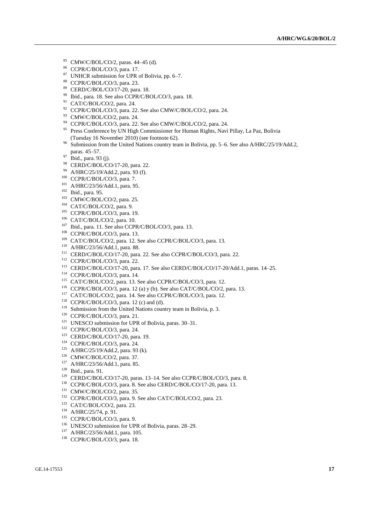- CMW/C/BOL/CO/2, paras. 44–45 (d).
- CCPR/C/BOL/CO/3, para. 17.
- UNHCR submission for UPR of Bolivia, pp. 6–7.
- CCPR/C/BOL/CO/3, para. 23.
- CERD/C/BOL/CO/17-20, para. 18.
- Ibid., para. 18. See also CCPR/C/BOL/CO/3, para. 18.
- CAT/C/BOL/CO/2, para. 24.
- CCPR/C/BOL/CO/3, para. 22. See also CMW/C/BOL/CO/2, para. 24.
- CMW/C/BOL/CO/2, para. 24.
- CCPR/C/BOL/CO/3, para. 22. See also CMW/C/BOL/CO/2, para. 24.
- <sup>95</sup> Press Conference by UN High Commissioner for Human Rights, Navi Pillay, La Paz, Bolivia (Tuesday 16 November 2010) (see footnote 62).
- <sup>96</sup> Submission from the United Nations country team in Bolivia, pp. 5–6. See also A/HRC/25/19/Add.2, paras. 45–57.
- Ibid., para. 93 (j).
- CERD/C/BOL/CO/17-20, para. 22.
- A/HRC/25/19/Add.2, para. 93 (f).
- <sup>100</sup> CCPR/C/BOL/CO/3, para. 7.
- A/HRC/23/56/Add.1, para. 95.
- Ibid., para. 95.
- CMW/C/BOL/CO/2, para. 25.
- CAT/C/BOL/CO/2, para. 9.
- CCPR/C/BOL/CO/3, para. 19.
- CAT/C/BOL/CO/2, para. 10.
- Ibid., para. 11. See also CCPR/C/BOL/CO/3, para. 13.
- CCPR/C/BOL/CO/3, para. 13.
- CAT/C/BOL/CO/2, para. 12. See also CCPR/C/BOL/CO/3, para. 13.
- A/HRC/23/56/Add.1, para. 88.
- <sup>111</sup> CERD/C/BOL/CO/17-20, para. 22. See also CCPR/C/BOL/CO/3, para. 22.
- CCPR/C/BOL/CO/3, para. 22.
- CERD/C/BOL/CO/17-20, para. 17. See also CERD/C/BOL/CO/17-20/Add.1, paras. 14–25.
- CCPR/C/BOL/CO/3, para. 14.
- CAT/C/BOL/CO/2, para. 13. See also CCPR/C/BOL/CO/3, para. 12.
- CCPR/C/BOL/CO/3, para. 12 (a) y (b). See also CAT/C/BOL/CO/2, para. 13.
- CAT/C/BOL/CO/2, para. 14. See also CCPR/C/BOL/CO/3, para. 12.
- CCPR/C/BOL/CO/3, para. 12 (c) and (d).
- Submission from the United Nations country team in Bolivia, p. 3.
- CCPR/C/BOL/CO/3, para. 21.
- <sup>121</sup> UNESCO submission for UPR of Bolivia, paras. 30–31.
- CCPR/C/BOL/CO/3, para. 24.
- CERD/C/BOL/CO/17-20, para. 19.
- CCPR/C/BOL/CO/3, para. 24.
- A/HRC/25/19/Add.2, para. 93 (k).
- CMW/C/BOL/CO/2, para. 37.
- A/HRC/23/56/Add.1, para. 85.
- Ibid., para. 91.
- <sup>129</sup> CERD/C/BOL/CO/17-20, paras. 13-14. See also CCPR/C/BOL/CO/3, para. 8.
- <sup>130</sup> CCPR/C/BOL/CO/3, para. 8. See also CERD/C/BOL/CO/17-20, para. 13.
- CMW/C/BOL/CO/2, para. 35.
- CCPR/C/BOL/CO/3, para. 9. See also CAT/C/BOL/CO/2, para. 23.
- CAT/C/BOL/CO/2, para. 23.
- A/HRC/25/74, p. 91.
- <sup>135</sup> CCPR/C/BOL/CO/3, para. 9.
- <sup>136</sup> UNESCO submission for UPR of Bolivia, paras. 28–29.
- A/HRC/23/56/Add.1, para. 105.
- CCPR/C/BOL/CO/3, para. 18.